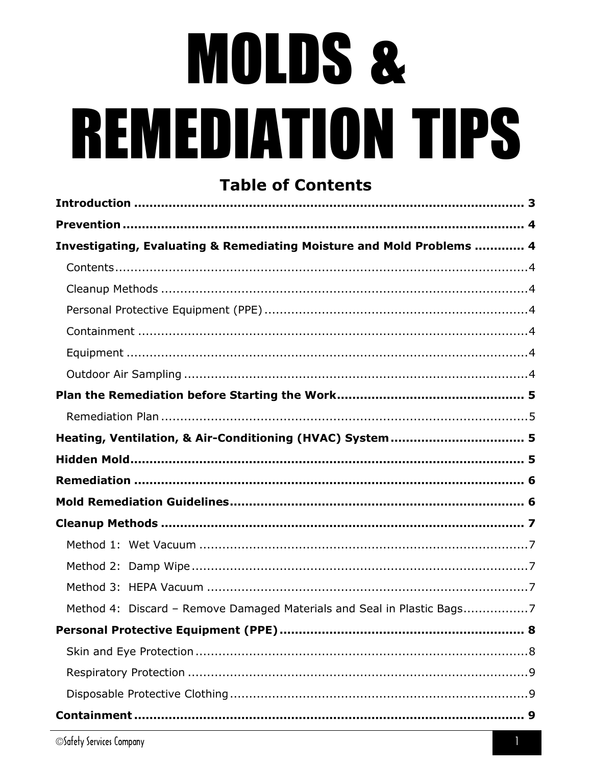# **MOLDS & REMEDIATION TIPS**

# **Table of Contents**

| Investigating, Evaluating & Remediating Moisture and Mold Problems  4  |
|------------------------------------------------------------------------|
|                                                                        |
|                                                                        |
|                                                                        |
|                                                                        |
|                                                                        |
|                                                                        |
|                                                                        |
|                                                                        |
| Heating, Ventilation, & Air-Conditioning (HVAC) System 5               |
|                                                                        |
|                                                                        |
|                                                                        |
|                                                                        |
|                                                                        |
|                                                                        |
|                                                                        |
| Method 4: Discard - Remove Damaged Materials and Seal in Plastic Bags7 |
|                                                                        |
|                                                                        |
|                                                                        |
|                                                                        |
|                                                                        |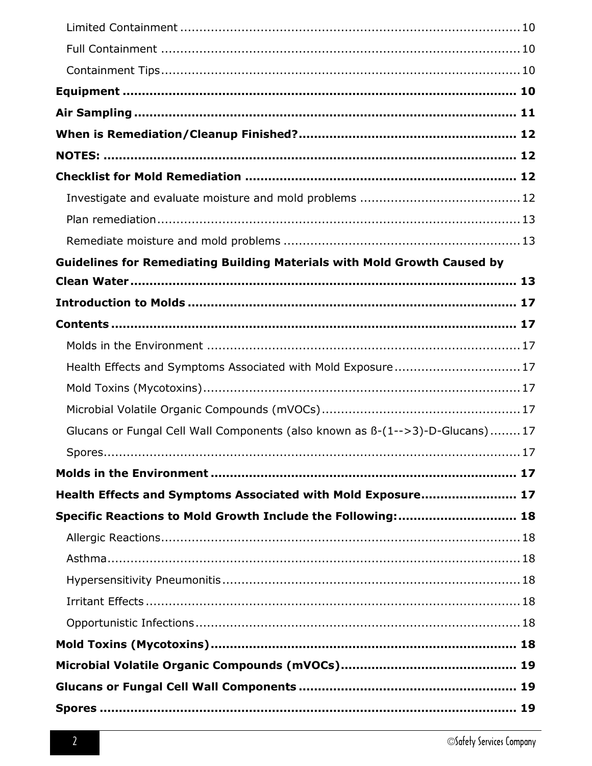| <b>Guidelines for Remediating Building Materials with Mold Growth Caused by</b> |  |
|---------------------------------------------------------------------------------|--|
|                                                                                 |  |
|                                                                                 |  |
|                                                                                 |  |
|                                                                                 |  |
| Health Effects and Symptoms Associated with Mold Exposure 17                    |  |
|                                                                                 |  |
|                                                                                 |  |
| Glucans or Fungal Cell Wall Components (also known as B-(1-->3)-D-Glucans)17    |  |
|                                                                                 |  |
|                                                                                 |  |
| Health Effects and Symptoms Associated with Mold Exposure 17                    |  |
| Specific Reactions to Mold Growth Include the Following: 18                     |  |
|                                                                                 |  |
|                                                                                 |  |
|                                                                                 |  |
|                                                                                 |  |
|                                                                                 |  |
|                                                                                 |  |
|                                                                                 |  |
|                                                                                 |  |
|                                                                                 |  |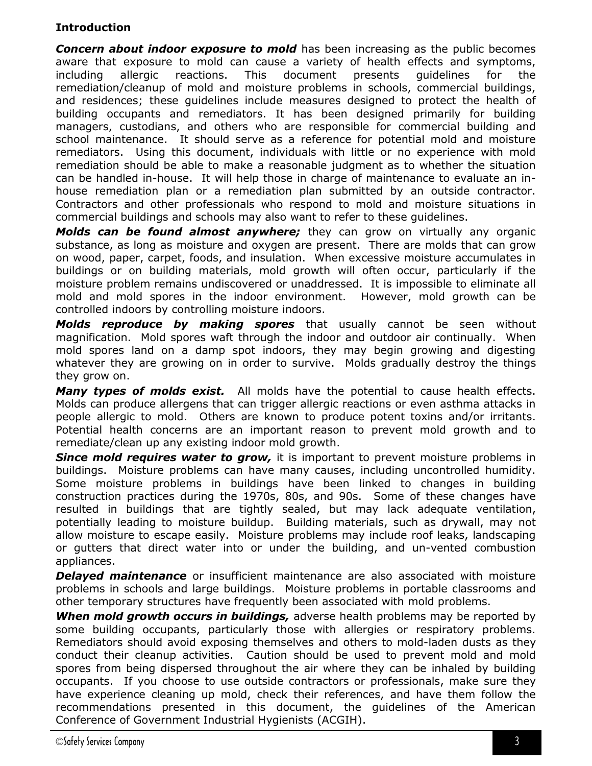#### <span id="page-2-0"></span>**Introduction**

*Concern about indoor exposure to mold* has been increasing as the public becomes aware that exposure to mold can cause a variety of health effects and symptoms, including allergic reactions. This document presents guidelines for the remediation/cleanup of mold and moisture problems in schools, commercial buildings, and residences; these guidelines include measures designed to protect the health of building occupants and remediators. It has been designed primarily for building managers, custodians, and others who are responsible for commercial building and school maintenance. It should serve as a reference for potential mold and moisture remediators. Using this document, individuals with little or no experience with mold remediation should be able to make a reasonable judgment as to whether the situation can be handled in-house. It will help those in charge of maintenance to evaluate an inhouse remediation plan or a remediation plan submitted by an outside contractor. Contractors and other professionals who respond to mold and moisture situations in commercial buildings and schools may also want to refer to these guidelines.

*Molds can be found almost anywhere;* they can grow on virtually any organic substance, as long as moisture and oxygen are present. There are molds that can grow on wood, paper, carpet, foods, and insulation. When excessive moisture accumulates in buildings or on building materials, mold growth will often occur, particularly if the moisture problem remains undiscovered or unaddressed. It is impossible to eliminate all mold and mold spores in the indoor environment. However, mold growth can be controlled indoors by controlling moisture indoors.

*Molds reproduce by making spores* that usually cannot be seen without magnification. Mold spores waft through the indoor and outdoor air continually. When mold spores land on a damp spot indoors, they may begin growing and digesting whatever they are growing on in order to survive. Molds gradually destroy the things they grow on.

*Many types of molds exist.* All molds have the potential to cause health effects. Molds can produce allergens that can trigger allergic reactions or even asthma attacks in people allergic to mold. Others are known to produce potent toxins and/or irritants. Potential health concerns are an important reason to prevent mold growth and to remediate/clean up any existing indoor mold growth.

**Since mold requires water to grow,** it is important to prevent moisture problems in buildings. Moisture problems can have many causes, including uncontrolled humidity. Some moisture problems in buildings have been linked to changes in building construction practices during the 1970s, 80s, and 90s. Some of these changes have resulted in buildings that are tightly sealed, but may lack adequate ventilation, potentially leading to moisture buildup. Building materials, such as drywall, may not allow moisture to escape easily. Moisture problems may include roof leaks, landscaping or gutters that direct water into or under the building, and un-vented combustion appliances.

*Delayed maintenance* or insufficient maintenance are also associated with moisture problems in schools and large buildings. Moisture problems in portable classrooms and other temporary structures have frequently been associated with mold problems.

*When mold growth occurs in buildings,* adverse health problems may be reported by some building occupants, particularly those with allergies or respiratory problems. Remediators should avoid exposing themselves and others to mold-laden dusts as they conduct their cleanup activities. Caution should be used to prevent mold and mold spores from being dispersed throughout the air where they can be inhaled by building occupants. If you choose to use outside contractors or professionals, make sure they have experience cleaning up mold, check their references, and have them follow the recommendations presented in this document, the guidelines of the American Conference of Government Industrial Hygienists (ACGIH).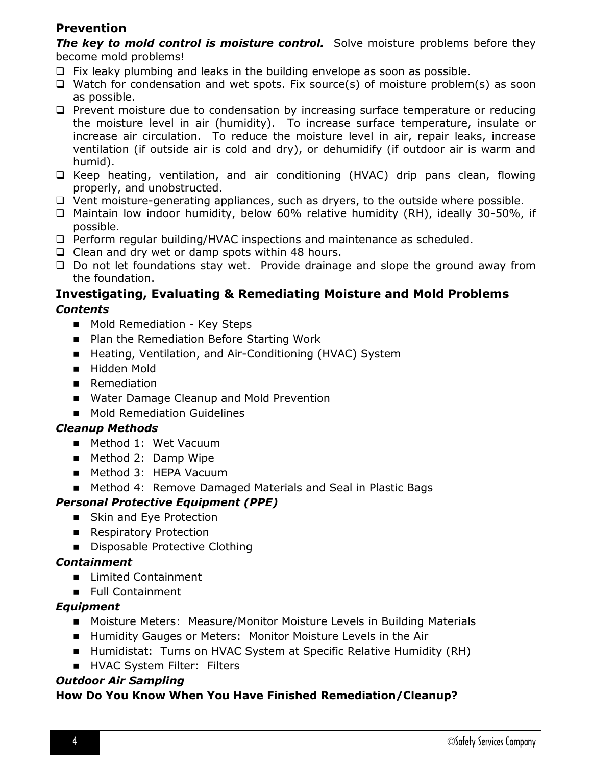# <span id="page-3-0"></span>**Prevention**

**The key to mold control is moisture control.** Solve moisture problems before they become mold problems!

- $\Box$  Fix leaky plumbing and leaks in the building envelope as soon as possible.
- $\Box$  Watch for condensation and wet spots. Fix source(s) of moisture problem(s) as soon as possible.
- $\Box$  Prevent moisture due to condensation by increasing surface temperature or reducing the moisture level in air (humidity). To increase surface temperature, insulate or increase air circulation. To reduce the moisture level in air, repair leaks, increase ventilation (if outside air is cold and dry), or dehumidify (if outdoor air is warm and humid).
- $\Box$  Keep heating, ventilation, and air conditioning (HVAC) drip pans clean, flowing properly, and unobstructed.
- $\Box$  Vent moisture-generating appliances, such as dryers, to the outside where possible.
- Maintain low indoor humidity, below 60% relative humidity (RH), ideally 30-50%, if possible.
- $\Box$  Perform regular building/HVAC inspections and maintenance as scheduled.
- $\Box$  Clean and dry wet or damp spots within 48 hours.
- $\Box$  Do not let foundations stay wet. Provide drainage and slope the ground away from the foundation.

# <span id="page-3-2"></span><span id="page-3-1"></span>**Investigating, Evaluating & Remediating Moisture and Mold Problems** *Contents*

- Mold Remediation Key Steps
- Plan the Remediation Before Starting Work
- Heating, Ventilation, and Air-Conditioning (HVAC) System
- Hidden Mold
- **Remediation**
- Water Damage Cleanup and Mold Prevention
- **Mold Remediation Guidelines**

# <span id="page-3-3"></span>*Cleanup Methods*

- **Method 1: Wet Vacuum**
- **Method 2: Damp Wipe**
- Method 3: HEPA Vacuum
- Method 4: Remove Damaged Materials and Seal in Plastic Bags

# <span id="page-3-4"></span>*Personal Protective Equipment (PPE)*

- Skin and Eye Protection
- **Respiratory Protection**
- **Disposable Protective Clothing**

#### <span id="page-3-5"></span>*Containment*

- **Limited Containment**
- **Full Containment**

#### <span id="page-3-6"></span>*Equipment*

- Moisture Meters: Measure/Monitor Moisture Levels in Building Materials
- **Humidity Gauges or Meters: Monitor Moisture Levels in the Air**
- Humidistat: Turns on HVAC System at Specific Relative Humidity (RH)
- **HVAC System Filter: Filters**

#### <span id="page-3-7"></span>*Outdoor Air Sampling*

# **How Do You Know When You Have Finished Remediation/Cleanup?**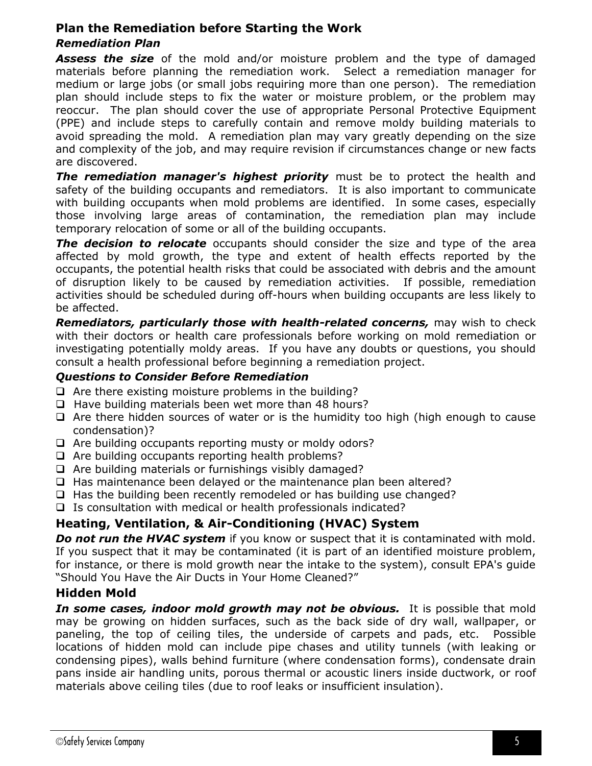# <span id="page-4-0"></span>**Plan the Remediation before Starting the Work** *Remediation Plan*

<span id="page-4-1"></span>*Assess the size* of the mold and/or moisture problem and the type of damaged materials before planning the remediation work. Select a remediation manager for medium or large jobs (or small jobs requiring more than one person). The remediation plan should include steps to fix the water or moisture problem, or the problem may reoccur. The plan should cover the use of appropriate Personal Protective Equipment (PPE) and include steps to carefully contain and remove moldy building materials to avoid spreading the mold. A remediation plan may vary greatly depending on the size and complexity of the job, and may require revision if circumstances change or new facts are discovered.

*The remediation manager's highest priority* must be to protect the health and safety of the building occupants and remediators. It is also important to communicate with building occupants when mold problems are identified. In some cases, especially those involving large areas of contamination, the remediation plan may include temporary relocation of some or all of the building occupants.

**The decision to relocate** occupants should consider the size and type of the area affected by mold growth, the type and extent of health effects reported by the occupants, the potential health risks that could be associated with debris and the amount of disruption likely to be caused by remediation activities. If possible, remediation activities should be scheduled during off-hours when building occupants are less likely to be affected.

*Remediators, particularly those with health-related concerns,* may wish to check with their doctors or health care professionals before working on mold remediation or investigating potentially moldy areas. If you have any doubts or questions, you should consult a health professional before beginning a remediation project.

# *Questions to Consider Before Remediation*

- $\Box$  Are there existing moisture problems in the building?
- $\Box$  Have building materials been wet more than 48 hours?
- $\Box$  Are there hidden sources of water or is the humidity too high (high enough to cause condensation)?
- $\Box$  Are building occupants reporting musty or moldy odors?
- $\Box$  Are building occupants reporting health problems?
- $\Box$  Are building materials or furnishings visibly damaged?
- $\Box$  Has maintenance been delayed or the maintenance plan been altered?
- $\Box$  Has the building been recently remodeled or has building use changed?
- $\Box$  Is consultation with medical or health professionals indicated?

# <span id="page-4-2"></span>**Heating, Ventilation, & Air-Conditioning (HVAC) System**

*Do not run the HVAC system* if you know or suspect that it is contaminated with mold. If you suspect that it may be contaminated (it is part of an identified moisture problem, for instance, or there is mold growth near the intake to the system), consult EPA's guide "Should You Have the Air Ducts in Your Home Cleaned?"

# <span id="page-4-3"></span>**Hidden Mold**

*In some cases, indoor mold growth may not be obvious.* It is possible that mold may be growing on hidden surfaces, such as the back side of dry wall, wallpaper, or paneling, the top of ceiling tiles, the underside of carpets and pads, etc. Possible locations of hidden mold can include pipe chases and utility tunnels (with leaking or condensing pipes), walls behind furniture (where condensation forms), condensate drain pans inside air handling units, porous thermal or acoustic liners inside ductwork, or roof materials above ceiling tiles (due to roof leaks or insufficient insulation).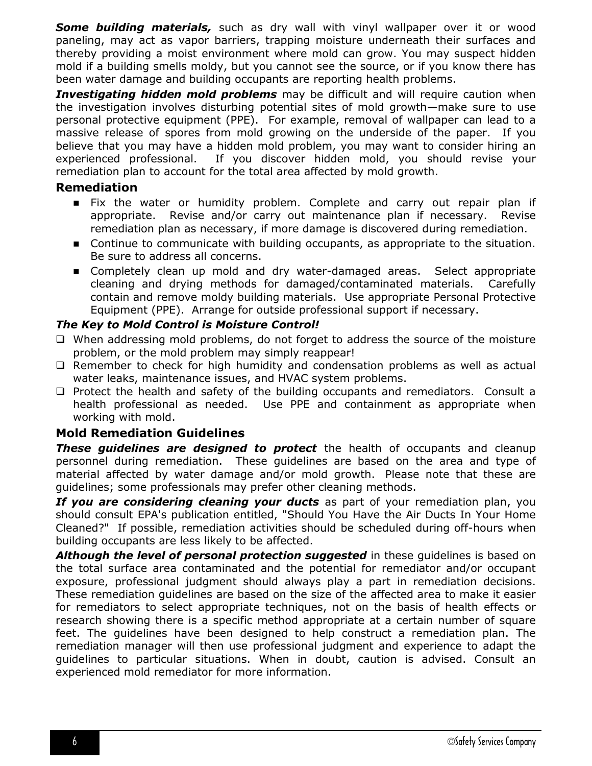*Some building materials,* such as dry wall with vinyl wallpaper over it or wood paneling, may act as vapor barriers, trapping moisture underneath their surfaces and thereby providing a moist environment where mold can grow. You may suspect hidden mold if a building smells moldy, but you cannot see the source, or if you know there has been water damage and building occupants are reporting health problems.

*Investigating hidden mold problems* may be difficult and will require caution when the investigation involves disturbing potential sites of mold growth—make sure to use personal protective equipment (PPE). For example, removal of wallpaper can lead to a massive release of spores from mold growing on the underside of the paper. If you believe that you may have a hidden mold problem, you may want to consider hiring an experienced professional. If you discover hidden mold, you should revise your remediation plan to account for the total area affected by mold growth.

#### <span id="page-5-0"></span>**Remediation**

- **Fix the water or humidity problem. Complete and carry out repair plan if** appropriate. Revise and/or carry out maintenance plan if necessary. Revise remediation plan as necessary, if more damage is discovered during remediation.
- **EX** Continue to communicate with building occupants, as appropriate to the situation. Be sure to address all concerns.
- **EX Completely clean up mold and dry water-damaged areas. Select appropriate** cleaning and drying methods for damaged/contaminated materials. Carefully contain and remove moldy building materials. Use appropriate Personal Protective Equipment (PPE). Arrange for outside professional support if necessary.

#### *The Key to Mold Control is Moisture Control!*

- $\Box$  When addressing mold problems, do not forget to address the source of the moisture problem, or the mold problem may simply reappear!
- Remember to check for high humidity and condensation problems as well as actual water leaks, maintenance issues, and HVAC system problems.
- $\Box$  Protect the health and safety of the building occupants and remediators. Consult a health professional as needed. Use PPE and containment as appropriate when working with mold.

# <span id="page-5-1"></span>**Mold Remediation Guidelines**

**These quidelines are designed to protect** the health of occupants and cleanup personnel during remediation. These guidelines are based on the area and type of material affected by water damage and/or mold growth. Please note that these are guidelines; some professionals may prefer other cleaning methods.

*If you are considering cleaning your ducts* as part of your remediation plan, you should consult EPA's publication entitled, "Should You Have the Air Ducts In Your Home Cleaned?" If possible, remediation activities should be scheduled during off-hours when building occupants are less likely to be affected.

*Although the level of personal protection suggested* in these guidelines is based on the total surface area contaminated and the potential for remediator and/or occupant exposure, professional judgment should always play a part in remediation decisions. These remediation guidelines are based on the size of the affected area to make it easier for remediators to select appropriate techniques, not on the basis of health effects or research showing there is a specific method appropriate at a certain number of square feet. The guidelines have been designed to help construct a remediation plan. The remediation manager will then use professional judgment and experience to adapt the guidelines to particular situations. When in doubt, caution is advised. Consult an experienced mold remediator for more information.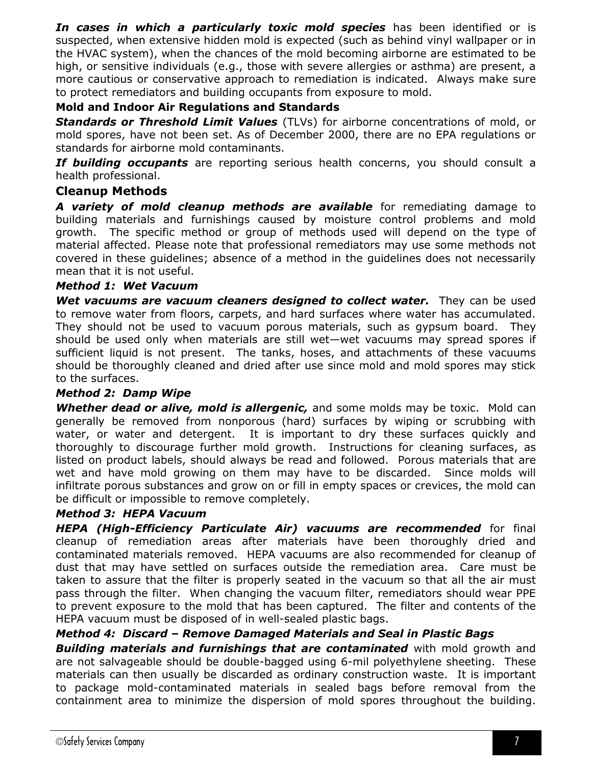*In cases in which a particularly toxic mold species* has been identified or is suspected, when extensive hidden mold is expected (such as behind vinyl wallpaper or in the HVAC system), when the chances of the mold becoming airborne are estimated to be high, or sensitive individuals (e.g., those with severe allergies or asthma) are present, a more cautious or conservative approach to remediation is indicated. Always make sure to protect remediators and building occupants from exposure to mold.

#### **Mold and Indoor Air Regulations and Standards**

*Standards or Threshold Limit Values* (TLVs) for airborne concentrations of mold, or mold spores, have not been set. As of December 2000, there are no EPA regulations or standards for airborne mold contaminants.

*If building occupants* are reporting serious health concerns, you should consult a health professional.

#### <span id="page-6-0"></span>**Cleanup Methods**

*A variety of mold cleanup methods are available* for remediating damage to building materials and furnishings caused by moisture control problems and mold growth. The specific method or group of methods used will depend on the type of material affected. Please note that professional remediators may use some methods not covered in these guidelines; absence of a method in the guidelines does not necessarily mean that it is not useful.

#### <span id="page-6-1"></span>*Method 1: Wet Vacuum*

*Wet vacuums are vacuum cleaners designed to collect water.* They can be used to remove water from floors, carpets, and hard surfaces where water has accumulated. They should not be used to vacuum porous materials, such as gypsum board. They should be used only when materials are still wet—wet vacuums may spread spores if sufficient liquid is not present. The tanks, hoses, and attachments of these vacuums should be thoroughly cleaned and dried after use since mold and mold spores may stick to the surfaces.

#### <span id="page-6-2"></span>*Method 2: Damp Wipe*

*Whether dead or alive, mold is allergenic,* and some molds may be toxic. Mold can generally be removed from nonporous (hard) surfaces by wiping or scrubbing with water, or water and detergent. It is important to dry these surfaces quickly and thoroughly to discourage further mold growth. Instructions for cleaning surfaces, as listed on product labels, should always be read and followed. Porous materials that are wet and have mold growing on them may have to be discarded. Since molds will infiltrate porous substances and grow on or fill in empty spaces or crevices, the mold can be difficult or impossible to remove completely.

# <span id="page-6-3"></span>*Method 3: HEPA Vacuum*

*HEPA (High-Efficiency Particulate Air) vacuums are recommended* for final cleanup of remediation areas after materials have been thoroughly dried and contaminated materials removed. HEPA vacuums are also recommended for cleanup of dust that may have settled on surfaces outside the remediation area. Care must be taken to assure that the filter is properly seated in the vacuum so that all the air must pass through the filter. When changing the vacuum filter, remediators should wear PPE to prevent exposure to the mold that has been captured. The filter and contents of the HEPA vacuum must be disposed of in well-sealed plastic bags.

# <span id="page-6-4"></span>*Method 4: Discard – Remove Damaged Materials and Seal in Plastic Bags*

*Building materials and furnishings that are contaminated* with mold growth and are not salvageable should be double-bagged using 6-mil polyethylene sheeting. These materials can then usually be discarded as ordinary construction waste. It is important to package mold-contaminated materials in sealed bags before removal from the containment area to minimize the dispersion of mold spores throughout the building.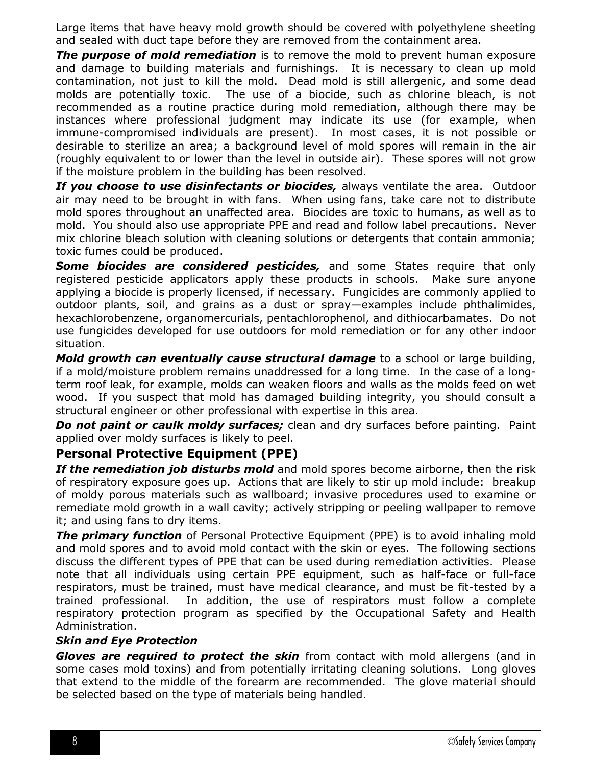Large items that have heavy mold growth should be covered with polyethylene sheeting and sealed with duct tape before they are removed from the containment area.

*The purpose of mold remediation* is to remove the mold to prevent human exposure and damage to building materials and furnishings. It is necessary to clean up mold contamination, not just to kill the mold. Dead mold is still allergenic, and some dead molds are potentially toxic. The use of a biocide, such as chlorine bleach, is not recommended as a routine practice during mold remediation, although there may be instances where professional judgment may indicate its use (for example, when immune-compromised individuals are present). In most cases, it is not possible or desirable to sterilize an area; a background level of mold spores will remain in the air (roughly equivalent to or lower than the level in outside air). These spores will not grow if the moisture problem in the building has been resolved.

*If you choose to use disinfectants or biocides, always ventilate the area. Outdoor* air may need to be brought in with fans. When using fans, take care not to distribute mold spores throughout an unaffected area. Biocides are toxic to humans, as well as to mold. You should also use appropriate PPE and read and follow label precautions. Never mix chlorine bleach solution with cleaning solutions or detergents that contain ammonia; toxic fumes could be produced.

**Some biocides are considered pesticides,** and some States require that only registered pesticide applicators apply these products in schools. Make sure anyone applying a biocide is properly licensed, if necessary. Fungicides are commonly applied to outdoor plants, soil, and grains as a dust or spray—examples include phthalimides, hexachlorobenzene, organomercurials, pentachlorophenol, and dithiocarbamates. Do not use fungicides developed for use outdoors for mold remediation or for any other indoor situation.

*Mold growth can eventually cause structural damage* to a school or large building, if a mold/moisture problem remains unaddressed for a long time. In the case of a longterm roof leak, for example, molds can weaken floors and walls as the molds feed on wet wood. If you suspect that mold has damaged building integrity, you should consult a structural engineer or other professional with expertise in this area.

*Do not paint or caulk moldy surfaces;* clean and dry surfaces before painting. Paint applied over moldy surfaces is likely to peel.

# <span id="page-7-0"></span>**Personal Protective Equipment (PPE)**

*If the remediation job disturbs mold* and mold spores become airborne, then the risk of respiratory exposure goes up. Actions that are likely to stir up mold include: breakup of moldy porous materials such as wallboard; invasive procedures used to examine or remediate mold growth in a wall cavity; actively stripping or peeling wallpaper to remove it; and using fans to dry items.

**The primary function** of Personal Protective Equipment (PPE) is to avoid inhaling mold and mold spores and to avoid mold contact with the skin or eyes. The following sections discuss the different types of PPE that can be used during remediation activities. Please note that all individuals using certain PPE equipment, such as half-face or full-face respirators, must be trained, must have medical clearance, and must be fit-tested by a trained professional. In addition, the use of respirators must follow a complete respiratory protection program as specified by the Occupational Safety and Health Administration.

#### <span id="page-7-1"></span>*Skin and Eye Protection*

*Gloves are required to protect the skin* from contact with mold allergens (and in some cases mold toxins) and from potentially irritating cleaning solutions. Long gloves that extend to the middle of the forearm are recommended. The glove material should be selected based on the type of materials being handled.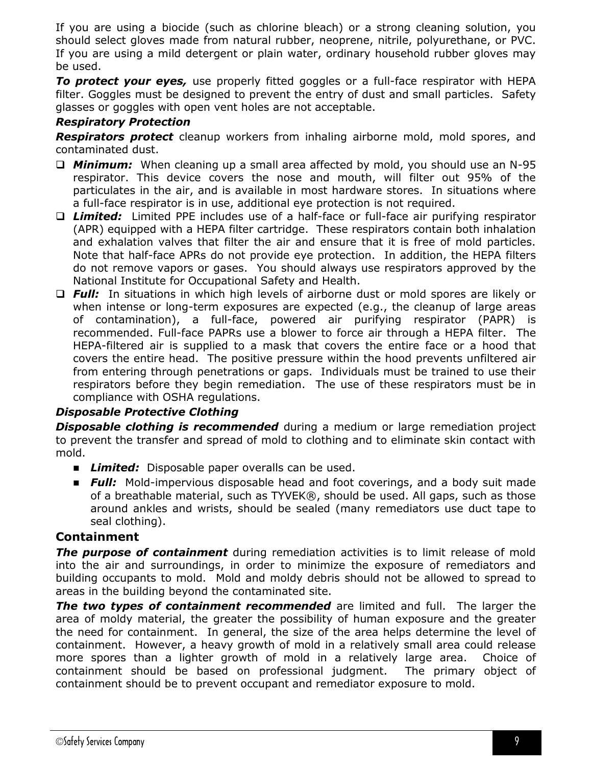If you are using a biocide (such as chlorine bleach) or a strong cleaning solution, you should select gloves made from natural rubber, neoprene, nitrile, polyurethane, or PVC. If you are using a mild detergent or plain water, ordinary household rubber gloves may be used.

*To protect your eyes,* use properly fitted goggles or a full-face respirator with HEPA filter. Goggles must be designed to prevent the entry of dust and small particles. Safety glasses or goggles with open vent holes are not acceptable.

### <span id="page-8-0"></span>*Respiratory Protection*

*Respirators protect* cleanup workers from inhaling airborne mold, mold spores, and contaminated dust.

- *Minimum:* When cleaning up a small area affected by mold, you should use an N-95 respirator. This device covers the nose and mouth, will filter out 95% of the particulates in the air, and is available in most hardware stores. In situations where a full-face respirator is in use, additional eye protection is not required.
- *Limited:* Limited PPE includes use of a half-face or full-face air purifying respirator (APR) equipped with a HEPA filter cartridge. These respirators contain both inhalation and exhalation valves that filter the air and ensure that it is free of mold particles. Note that half-face APRs do not provide eye protection. In addition, the HEPA filters do not remove vapors or gases. You should always use respirators approved by the National Institute for Occupational Safety and Health.
- *Full:* In situations in which high levels of airborne dust or mold spores are likely or when intense or long-term exposures are expected (e.g., the cleanup of large areas of contamination), a full-face, powered air purifying respirator (PAPR) is recommended. Full-face PAPRs use a blower to force air through a HEPA filter. The HEPA-filtered air is supplied to a mask that covers the entire face or a hood that covers the entire head. The positive pressure within the hood prevents unfiltered air from entering through penetrations or gaps. Individuals must be trained to use their respirators before they begin remediation. The use of these respirators must be in compliance with OSHA regulations.

# <span id="page-8-1"></span>*Disposable Protective Clothing*

**Disposable clothing is recommended** during a medium or large remediation project to prevent the transfer and spread of mold to clothing and to eliminate skin contact with mold.

- **Limited:** Disposable paper overalls can be used.
- **Full:** Mold-impervious disposable head and foot coverings, and a body suit made of a breathable material, such as TYVEK®, should be used. All gaps, such as those around ankles and wrists, should be sealed (many remediators use duct tape to seal clothing).

# <span id="page-8-2"></span>**Containment**

**The purpose of containment** during remediation activities is to limit release of mold into the air and surroundings, in order to minimize the exposure of remediators and building occupants to mold. Mold and moldy debris should not be allowed to spread to areas in the building beyond the contaminated site.

**The two types of containment recommended** are limited and full. The larger the area of moldy material, the greater the possibility of human exposure and the greater the need for containment. In general, the size of the area helps determine the level of containment. However, a heavy growth of mold in a relatively small area could release more spores than a lighter growth of mold in a relatively large area. Choice of containment should be based on professional judgment. The primary object of containment should be to prevent occupant and remediator exposure to mold.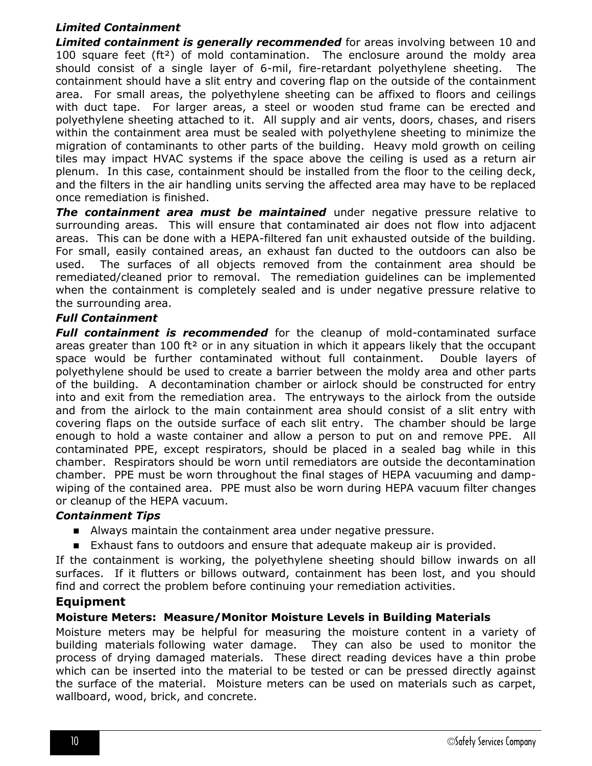#### <span id="page-9-0"></span>*Limited Containment*

*Limited containment is generally recommended* for areas involving between 10 and 100 square feet (ft²) of mold contamination. The enclosure around the moldy area should consist of a single layer of 6-mil, fire-retardant polyethylene sheeting. The containment should have a slit entry and covering flap on the outside of the containment area. For small areas, the polyethylene sheeting can be affixed to floors and ceilings with duct tape. For larger areas, a steel or wooden stud frame can be erected and polyethylene sheeting attached to it. All supply and air vents, doors, chases, and risers within the containment area must be sealed with polyethylene sheeting to minimize the migration of contaminants to other parts of the building. Heavy mold growth on ceiling tiles may impact HVAC systems if the space above the ceiling is used as a return air plenum. In this case, containment should be installed from the floor to the ceiling deck, and the filters in the air handling units serving the affected area may have to be replaced once remediation is finished.

**The containment area must be maintained** under negative pressure relative to surrounding areas. This will ensure that contaminated air does not flow into adjacent areas. This can be done with a HEPA-filtered fan unit exhausted outside of the building. For small, easily contained areas, an exhaust fan ducted to the outdoors can also be used. The surfaces of all objects removed from the containment area should be remediated/cleaned prior to removal. The remediation guidelines can be implemented when the containment is completely sealed and is under negative pressure relative to the surrounding area.

# <span id="page-9-1"></span>*Full Containment*

*Full containment is recommended* for the cleanup of mold-contaminated surface areas greater than 100 ft<sup>2</sup> or in any situation in which it appears likely that the occupant space would be further contaminated without full containment. Double layers of polyethylene should be used to create a barrier between the moldy area and other parts of the building. A decontamination chamber or airlock should be constructed for entry into and exit from the remediation area. The entryways to the airlock from the outside and from the airlock to the main containment area should consist of a slit entry with covering flaps on the outside surface of each slit entry. The chamber should be large enough to hold a waste container and allow a person to put on and remove PPE. All contaminated PPE, except respirators, should be placed in a sealed bag while in this chamber. Respirators should be worn until remediators are outside the decontamination chamber. PPE must be worn throughout the final stages of HEPA vacuuming and dampwiping of the contained area. PPE must also be worn during HEPA vacuum filter changes or cleanup of the HEPA vacuum.

#### <span id="page-9-2"></span>*Containment Tips*

- Always maintain the containment area under negative pressure.
- Exhaust fans to outdoors and ensure that adequate makeup air is provided.

If the containment is working, the polyethylene sheeting should billow inwards on all surfaces. If it flutters or billows outward, containment has been lost, and you should find and correct the problem before continuing your remediation activities.

# <span id="page-9-3"></span>**Equipment**

#### **Moisture Meters: Measure/Monitor Moisture Levels in Building Materials**

Moisture meters may be helpful for measuring the moisture content in a variety of building materials following water damage. They can also be used to monitor the process of drying damaged materials. These direct reading devices have a thin probe which can be inserted into the material to be tested or can be pressed directly against the surface of the material. Moisture meters can be used on materials such as carpet, wallboard, wood, brick, and concrete.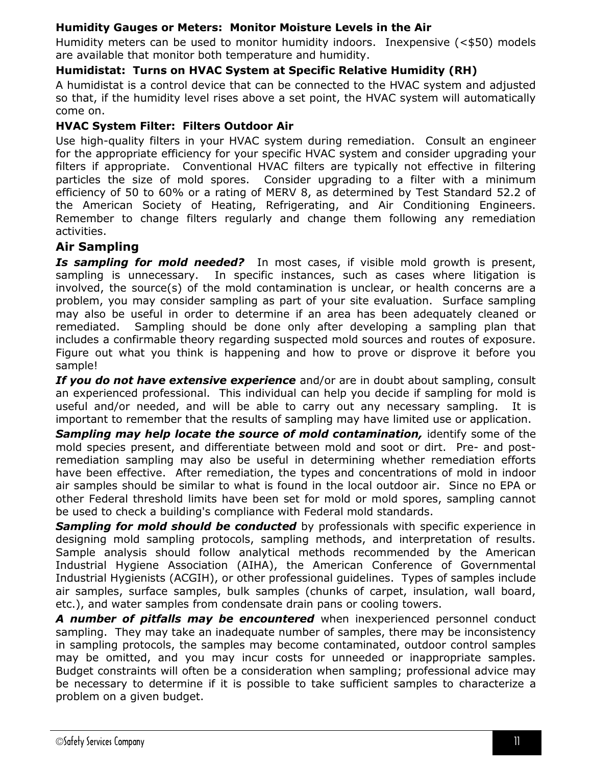# **Humidity Gauges or Meters: Monitor Moisture Levels in the Air**

Humidity meters can be used to monitor humidity indoors. Inexpensive (<\$50) models are available that monitor both temperature and humidity.

# **Humidistat: Turns on HVAC System at Specific Relative Humidity (RH)**

A humidistat is a control device that can be connected to the HVAC system and adjusted so that, if the humidity level rises above a set point, the HVAC system will automatically come on.

# **HVAC System Filter: Filters Outdoor Air**

Use high-quality filters in your HVAC system during remediation. Consult an engineer for the appropriate efficiency for your specific HVAC system and consider upgrading your filters if appropriate. Conventional HVAC filters are typically not effective in filtering particles the size of mold spores. Consider upgrading to a filter with a minimum efficiency of 50 to 60% or a rating of MERV 8, as determined by Test Standard 52.2 of the American Society of Heating, Refrigerating, and Air Conditioning Engineers. Remember to change filters regularly and change them following any remediation activities.

# <span id="page-10-0"></span>**Air Sampling**

*Is sampling for mold needed?* In most cases, if visible mold growth is present, sampling is unnecessary. In specific instances, such as cases where litigation is involved, the source(s) of the mold contamination is unclear, or health concerns are a problem, you may consider sampling as part of your site evaluation. Surface sampling may also be useful in order to determine if an area has been adequately cleaned or remediated. Sampling should be done only after developing a sampling plan that includes a confirmable theory regarding suspected mold sources and routes of exposure. Figure out what you think is happening and how to prove or disprove it before you sample!

*If you do not have extensive experience* and/or are in doubt about sampling, consult an experienced professional. This individual can help you decide if sampling for mold is useful and/or needed, and will be able to carry out any necessary sampling. It is important to remember that the results of sampling may have limited use or application.

*Sampling may help locate the source of mold contamination,* identify some of the mold species present, and differentiate between mold and soot or dirt. Pre- and postremediation sampling may also be useful in determining whether remediation efforts have been effective. After remediation, the types and concentrations of mold in indoor air samples should be similar to what is found in the local outdoor air. Since no EPA or other Federal threshold limits have been set for mold or mold spores, sampling cannot be used to check a building's compliance with Federal mold standards.

**Sampling for mold should be conducted** by professionals with specific experience in designing mold sampling protocols, sampling methods, and interpretation of results. Sample analysis should follow analytical methods recommended by the American Industrial Hygiene Association (AIHA), the American Conference of Governmental Industrial Hygienists (ACGIH), or other professional guidelines. Types of samples include air samples, surface samples, bulk samples (chunks of carpet, insulation, wall board, etc.), and water samples from condensate drain pans or cooling towers.

*A number of pitfalls may be encountered* when inexperienced personnel conduct sampling. They may take an inadequate number of samples, there may be inconsistency in sampling protocols, the samples may become contaminated, outdoor control samples may be omitted, and you may incur costs for unneeded or inappropriate samples. Budget constraints will often be a consideration when sampling; professional advice may be necessary to determine if it is possible to take sufficient samples to characterize a problem on a given budget.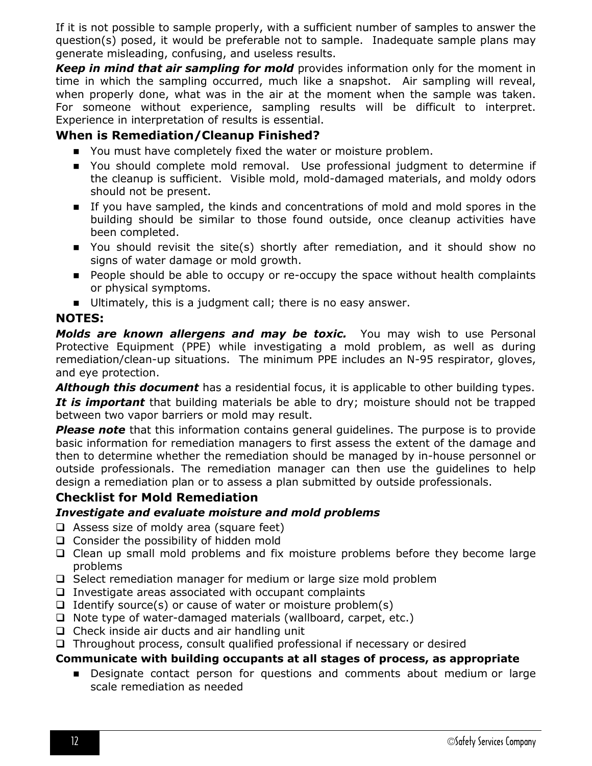If it is not possible to sample properly, with a sufficient number of samples to answer the question(s) posed, it would be preferable not to sample. Inadequate sample plans may generate misleading, confusing, and useless results.

*Keep in mind that air sampling for mold* provides information only for the moment in time in which the sampling occurred, much like a snapshot. Air sampling will reveal, when properly done, what was in the air at the moment when the sample was taken. For someone without experience, sampling results will be difficult to interpret. Experience in interpretation of results is essential.

# <span id="page-11-0"></span>**When is Remediation/Cleanup Finished?**

- You must have completely fixed the water or moisture problem.
- You should complete mold removal. Use professional judgment to determine if the cleanup is sufficient. Visible mold, mold-damaged materials, and moldy odors should not be present.
- If you have sampled, the kinds and concentrations of mold and mold spores in the building should be similar to those found outside, once cleanup activities have been completed.
- You should revisit the site(s) shortly after remediation, and it should show no signs of water damage or mold growth.
- **People should be able to occupy or re-occupy the space without health complaints** or physical symptoms.
- Ultimately, this is a judgment call; there is no easy answer.

# <span id="page-11-1"></span>**NOTES:**

*Molds are known allergens and may be toxic.* You may wish to use Personal Protective Equipment (PPE) while investigating a mold problem, as well as during remediation/clean-up situations. The minimum PPE includes an N-95 respirator, gloves, and eye protection.

*Although this document* has a residential focus, it is applicable to other building types.

*It is important* that building materials be able to dry; moisture should not be trapped between two vapor barriers or mold may result.

*Please note* that this information contains general guidelines. The purpose is to provide basic information for remediation managers to first assess the extent of the damage and then to determine whether the remediation should be managed by in-house personnel or outside professionals. The remediation manager can then use the guidelines to help design a remediation plan or to assess a plan submitted by outside professionals.

# <span id="page-11-2"></span>**Checklist for Mold Remediation**

#### <span id="page-11-3"></span>*Investigate and evaluate moisture and mold problems*

- $\Box$  Assess size of moldy area (square feet)
- $\Box$  Consider the possibility of hidden mold
- $\Box$  Clean up small mold problems and fix moisture problems before they become large problems
- Select remediation manager for medium or large size mold problem
- $\Box$  Investigate areas associated with occupant complaints
- $\Box$  Identify source(s) or cause of water or moisture problem(s)
- $\Box$  Note type of water-damaged materials (wallboard, carpet, etc.)
- $\Box$  Check inside air ducts and air handling unit
- $\Box$  Throughout process, consult qualified professional if necessary or desired

# **Communicate with building occupants at all stages of process, as appropriate**

**Designate contact person for questions and comments about medium or large** scale remediation as needed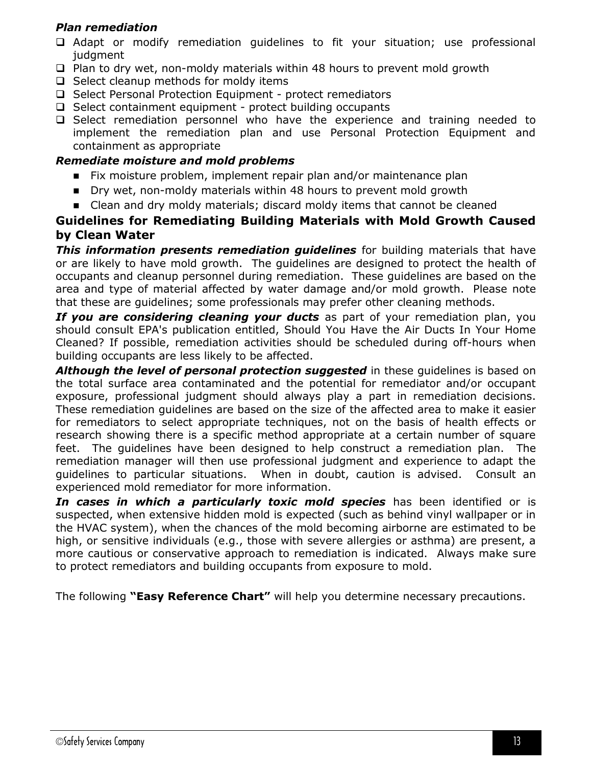#### <span id="page-12-0"></span>*Plan remediation*

- Adapt or modify remediation guidelines to fit your situation; use professional judgment
- $\Box$  Plan to dry wet, non-moldy materials within 48 hours to prevent mold growth
- $\Box$  Select cleanup methods for moldy items
- □ Select Personal Protection Equipment protect remediators
- $\square$  Select containment equipment protect building occupants
- Select remediation personnel who have the experience and training needed to implement the remediation plan and use Personal Protection Equipment and containment as appropriate

# <span id="page-12-1"></span>*Remediate moisture and mold problems*

- Fix moisture problem, implement repair plan and/or maintenance plan
- **Dry wet, non-moldy materials within 48 hours to prevent mold growth**
- Clean and dry moldy materials; discard moldy items that cannot be cleaned

# <span id="page-12-2"></span>**Guidelines for Remediating Building Materials with Mold Growth Caused by Clean Water**

**This information presents remediation quidelines** for building materials that have or are likely to have mold growth. The guidelines are designed to protect the health of occupants and cleanup personnel during remediation. These guidelines are based on the area and type of material affected by water damage and/or mold growth. Please note that these are guidelines; some professionals may prefer other cleaning methods.

*If you are considering cleaning your ducts* as part of your remediation plan, you should consult EPA's publication entitled, Should You Have the Air Ducts In Your Home Cleaned? If possible, remediation activities should be scheduled during off-hours when building occupants are less likely to be affected.

*Although the level of personal protection suggested* in these guidelines is based on the total surface area contaminated and the potential for remediator and/or occupant exposure, professional judgment should always play a part in remediation decisions. These remediation guidelines are based on the size of the affected area to make it easier for remediators to select appropriate techniques, not on the basis of health effects or research showing there is a specific method appropriate at a certain number of square feet. The guidelines have been designed to help construct a remediation plan. The remediation manager will then use professional judgment and experience to adapt the guidelines to particular situations. When in doubt, caution is advised. Consult an experienced mold remediator for more information.

*In cases in which a particularly toxic mold species* has been identified or is suspected, when extensive hidden mold is expected (such as behind vinyl wallpaper or in the HVAC system), when the chances of the mold becoming airborne are estimated to be high, or sensitive individuals (e.g., those with severe allergies or asthma) are present, a more cautious or conservative approach to remediation is indicated. Always make sure to protect remediators and building occupants from exposure to mold.

The following **"Easy Reference Chart"** will help you determine necessary precautions.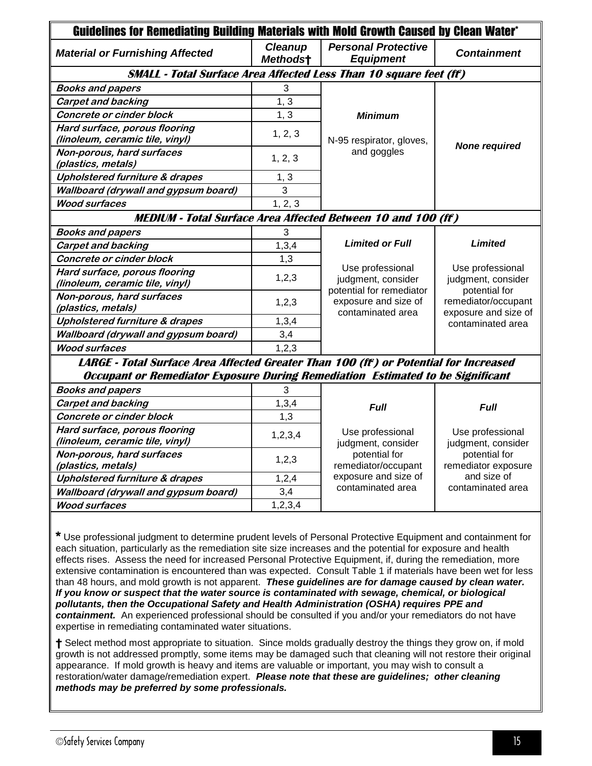| <b>Guidelines for Remediating Building Materials with Mold Growth Caused by Clean Water*</b>                                                                                                                                                                                                                                                                                                                                                                                                                                                                                                                                                                                                                                                                                |                            |                                                                                                                 |                                                                                                        |  |  |
|-----------------------------------------------------------------------------------------------------------------------------------------------------------------------------------------------------------------------------------------------------------------------------------------------------------------------------------------------------------------------------------------------------------------------------------------------------------------------------------------------------------------------------------------------------------------------------------------------------------------------------------------------------------------------------------------------------------------------------------------------------------------------------|----------------------------|-----------------------------------------------------------------------------------------------------------------|--------------------------------------------------------------------------------------------------------|--|--|
| <b>Material or Furnishing Affected</b>                                                                                                                                                                                                                                                                                                                                                                                                                                                                                                                                                                                                                                                                                                                                      | <b>Cleanup</b><br>Methodst | <b>Personal Protective</b><br><b>Equipment</b>                                                                  | <b>Containment</b>                                                                                     |  |  |
| <b>SMALL</b> - Total Surface Area Affected Less Than 10 square feet (ff)                                                                                                                                                                                                                                                                                                                                                                                                                                                                                                                                                                                                                                                                                                    |                            |                                                                                                                 |                                                                                                        |  |  |
| <b>Books and papers</b>                                                                                                                                                                                                                                                                                                                                                                                                                                                                                                                                                                                                                                                                                                                                                     | 3                          |                                                                                                                 |                                                                                                        |  |  |
| <b>Carpet and backing</b>                                                                                                                                                                                                                                                                                                                                                                                                                                                                                                                                                                                                                                                                                                                                                   | 1, 3                       |                                                                                                                 |                                                                                                        |  |  |
| Concrete or cinder block                                                                                                                                                                                                                                                                                                                                                                                                                                                                                                                                                                                                                                                                                                                                                    | 1, 3                       | <b>Minimum</b><br>N-95 respirator, gloves,                                                                      | <b>None required</b>                                                                                   |  |  |
| Hard surface, porous flooring<br>(linoleum, ceramic tile, vinyl)                                                                                                                                                                                                                                                                                                                                                                                                                                                                                                                                                                                                                                                                                                            | 1, 2, 3                    |                                                                                                                 |                                                                                                        |  |  |
| Non-porous, hard surfaces<br>(plastics, metals)                                                                                                                                                                                                                                                                                                                                                                                                                                                                                                                                                                                                                                                                                                                             | 1, 2, 3                    | and goggles                                                                                                     |                                                                                                        |  |  |
| Upholstered furniture & drapes                                                                                                                                                                                                                                                                                                                                                                                                                                                                                                                                                                                                                                                                                                                                              | 1, 3                       |                                                                                                                 |                                                                                                        |  |  |
| <b>Wallboard (drywall and gypsum board)</b>                                                                                                                                                                                                                                                                                                                                                                                                                                                                                                                                                                                                                                                                                                                                 | $\overline{3}$             |                                                                                                                 |                                                                                                        |  |  |
| <b>Wood surfaces</b>                                                                                                                                                                                                                                                                                                                                                                                                                                                                                                                                                                                                                                                                                                                                                        | 1, 2, 3                    |                                                                                                                 |                                                                                                        |  |  |
| <b>MEDIUM - Total Surface Area Affected Between 10 and 100 (ff)</b>                                                                                                                                                                                                                                                                                                                                                                                                                                                                                                                                                                                                                                                                                                         |                            |                                                                                                                 |                                                                                                        |  |  |
| <b>Books and papers</b>                                                                                                                                                                                                                                                                                                                                                                                                                                                                                                                                                                                                                                                                                                                                                     | 3                          |                                                                                                                 |                                                                                                        |  |  |
| <b>Carpet and backing</b>                                                                                                                                                                                                                                                                                                                                                                                                                                                                                                                                                                                                                                                                                                                                                   | 1,3,4                      | <b>Limited or Full</b>                                                                                          | <b>Limited</b>                                                                                         |  |  |
| Concrete or cinder block                                                                                                                                                                                                                                                                                                                                                                                                                                                                                                                                                                                                                                                                                                                                                    | 1,3                        |                                                                                                                 |                                                                                                        |  |  |
| Hard surface, porous flooring<br>(linoleum, ceramic tile, vinyl)                                                                                                                                                                                                                                                                                                                                                                                                                                                                                                                                                                                                                                                                                                            | 1,2,3                      | Use professional<br>judgment, consider<br>potential for remediator<br>exposure and size of<br>contaminated area | Use professional<br>judgment, consider<br>potential for<br>remediator/occupant<br>exposure and size of |  |  |
| Non-porous, hard surfaces<br>(plastics, metals)                                                                                                                                                                                                                                                                                                                                                                                                                                                                                                                                                                                                                                                                                                                             | 1,2,3                      |                                                                                                                 |                                                                                                        |  |  |
| <b>Upholstered furniture &amp; drapes</b>                                                                                                                                                                                                                                                                                                                                                                                                                                                                                                                                                                                                                                                                                                                                   | 1,3,4                      |                                                                                                                 | contaminated area                                                                                      |  |  |
| <b>Wallboard (drywall and gypsum board)</b>                                                                                                                                                                                                                                                                                                                                                                                                                                                                                                                                                                                                                                                                                                                                 | 3,4                        |                                                                                                                 |                                                                                                        |  |  |
| <b>Wood surfaces</b>                                                                                                                                                                                                                                                                                                                                                                                                                                                                                                                                                                                                                                                                                                                                                        | 1,2,3                      |                                                                                                                 |                                                                                                        |  |  |
| LARGE - Total Surface Area Affected Greater Than 100 (ff) or Potential for Increased                                                                                                                                                                                                                                                                                                                                                                                                                                                                                                                                                                                                                                                                                        |                            |                                                                                                                 |                                                                                                        |  |  |
| Occupant or Remediator Exposure During Remediation Estimated to be Significant                                                                                                                                                                                                                                                                                                                                                                                                                                                                                                                                                                                                                                                                                              |                            |                                                                                                                 |                                                                                                        |  |  |
| <b>Books and papers</b>                                                                                                                                                                                                                                                                                                                                                                                                                                                                                                                                                                                                                                                                                                                                                     | 3                          |                                                                                                                 |                                                                                                        |  |  |
| <b>Carpet and backing</b>                                                                                                                                                                                                                                                                                                                                                                                                                                                                                                                                                                                                                                                                                                                                                   | 1,3,4                      | <b>Full</b>                                                                                                     | <b>Full</b>                                                                                            |  |  |
| Concrete or cinder block                                                                                                                                                                                                                                                                                                                                                                                                                                                                                                                                                                                                                                                                                                                                                    | 1,3                        |                                                                                                                 |                                                                                                        |  |  |
| Hard surface, porous flooring<br>(linoleum, ceramic tile, vinyl)                                                                                                                                                                                                                                                                                                                                                                                                                                                                                                                                                                                                                                                                                                            | 1, 2, 3, 4                 | Use professional<br>judgment, consider                                                                          | Use professional<br>judgment, consider                                                                 |  |  |
| Non-porous, hard surfaces<br>(plastics, metals)                                                                                                                                                                                                                                                                                                                                                                                                                                                                                                                                                                                                                                                                                                                             | 1,2,3                      | potential for<br>remediator/occupant<br>exposure and size of                                                    | potential for<br>remediator exposure                                                                   |  |  |
| Upholstered furniture & drapes                                                                                                                                                                                                                                                                                                                                                                                                                                                                                                                                                                                                                                                                                                                                              | 1,2,4                      |                                                                                                                 | and size of                                                                                            |  |  |
| <b>Wallboard (drywall and gypsum board)</b>                                                                                                                                                                                                                                                                                                                                                                                                                                                                                                                                                                                                                                                                                                                                 | 3,4                        | contaminated area                                                                                               | contaminated area                                                                                      |  |  |
| <b>Wood surfaces</b>                                                                                                                                                                                                                                                                                                                                                                                                                                                                                                                                                                                                                                                                                                                                                        | 1, 2, 3, 4                 |                                                                                                                 |                                                                                                        |  |  |
| * Use professional judgment to determine prudent levels of Personal Protective Equipment and containment for<br>each situation, particularly as the remediation site size increases and the potential for exposure and health<br>effects rises. Assess the need for increased Personal Protective Equipment, if, during the remediation, more<br>extensive contamination is encountered than was expected. Consult Table 1 if materials have been wet for less<br>than 48 hours, and mold growth is not apparent. These guidelines are for damage caused by clean water.<br>If you know or suspect that the water source is contaminated with sewage, chemical, or biological<br>pollutants, then the Occupational Safety and Health Administration (OSHA) requires PPE and |                            |                                                                                                                 |                                                                                                        |  |  |

*containment.* An experienced professional should be consulted if you and/or your remediators do not have expertise in remediating contaminated water situations.

**†** Select method most appropriate to situation. Since molds gradually destroy the things they grow on, if mold growth is not addressed promptly, some items may be damaged such that cleaning will not restore their original appearance. If mold growth is heavy and items are valuable or important, you may wish to consult a restoration/water damage/remediation expert. *Please note that these are guidelines; other cleaning methods may be preferred by some professionals.*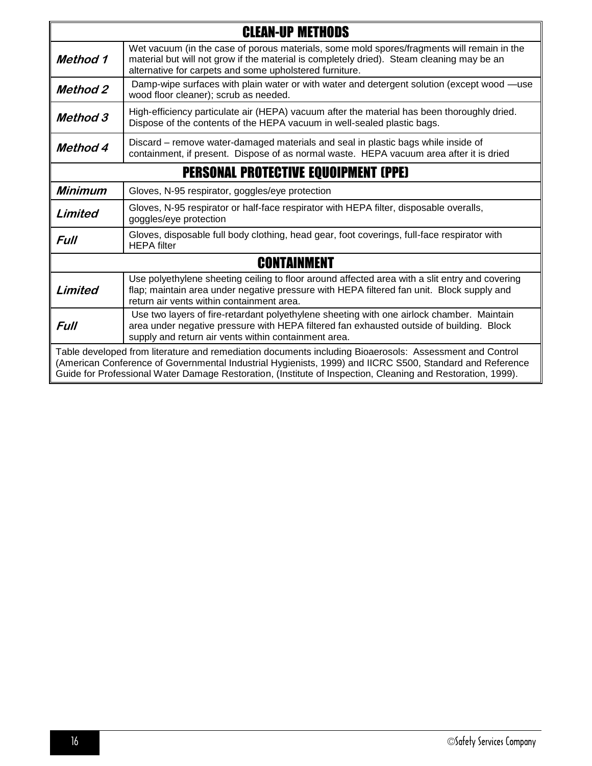| <b>CLEAN-UP METHODS</b>                                                                                                                                                                                                                                                                                                            |                                                                                                                                                                                                                                                    |  |  |  |  |
|------------------------------------------------------------------------------------------------------------------------------------------------------------------------------------------------------------------------------------------------------------------------------------------------------------------------------------|----------------------------------------------------------------------------------------------------------------------------------------------------------------------------------------------------------------------------------------------------|--|--|--|--|
| Method 1                                                                                                                                                                                                                                                                                                                           | Wet vacuum (in the case of porous materials, some mold spores/fragments will remain in the<br>material but will not grow if the material is completely dried). Steam cleaning may be an<br>alternative for carpets and some upholstered furniture. |  |  |  |  |
| <b>Method 2</b>                                                                                                                                                                                                                                                                                                                    | Damp-wipe surfaces with plain water or with water and detergent solution (except wood -use<br>wood floor cleaner); scrub as needed.                                                                                                                |  |  |  |  |
| Method 3                                                                                                                                                                                                                                                                                                                           | High-efficiency particulate air (HEPA) vacuum after the material has been thoroughly dried.<br>Dispose of the contents of the HEPA vacuum in well-sealed plastic bags.                                                                             |  |  |  |  |
| Method 4                                                                                                                                                                                                                                                                                                                           | Discard – remove water-damaged materials and seal in plastic bags while inside of<br>containment, if present. Dispose of as normal waste. HEPA vacuum area after it is dried                                                                       |  |  |  |  |
| <b>PERSONAL PROTECTIVE EQUOIPMENT (PPE)</b>                                                                                                                                                                                                                                                                                        |                                                                                                                                                                                                                                                    |  |  |  |  |
| <b>Minimum</b>                                                                                                                                                                                                                                                                                                                     | Gloves, N-95 respirator, goggles/eye protection                                                                                                                                                                                                    |  |  |  |  |
| Limited                                                                                                                                                                                                                                                                                                                            | Gloves, N-95 respirator or half-face respirator with HEPA filter, disposable overalls,<br>goggles/eye protection                                                                                                                                   |  |  |  |  |
| <b>Full</b>                                                                                                                                                                                                                                                                                                                        | Gloves, disposable full body clothing, head gear, foot coverings, full-face respirator with<br><b>HEPA</b> filter                                                                                                                                  |  |  |  |  |
| <b>CONTAINMENT</b>                                                                                                                                                                                                                                                                                                                 |                                                                                                                                                                                                                                                    |  |  |  |  |
| Limited                                                                                                                                                                                                                                                                                                                            | Use polyethylene sheeting ceiling to floor around affected area with a slit entry and covering<br>flap; maintain area under negative pressure with HEPA filtered fan unit. Block supply and<br>return air vents within containment area.           |  |  |  |  |
| Full                                                                                                                                                                                                                                                                                                                               | Use two layers of fire-retardant polyethylene sheeting with one airlock chamber. Maintain<br>area under negative pressure with HEPA filtered fan exhausted outside of building. Block<br>supply and return air vents within containment area.      |  |  |  |  |
| Table developed from literature and remediation documents including Bioaerosols: Assessment and Control<br>(American Conference of Governmental Industrial Hygienists, 1999) and IICRC S500, Standard and Reference<br>Guide for Professional Water Damage Restoration, (Institute of Inspection, Cleaning and Restoration, 1999). |                                                                                                                                                                                                                                                    |  |  |  |  |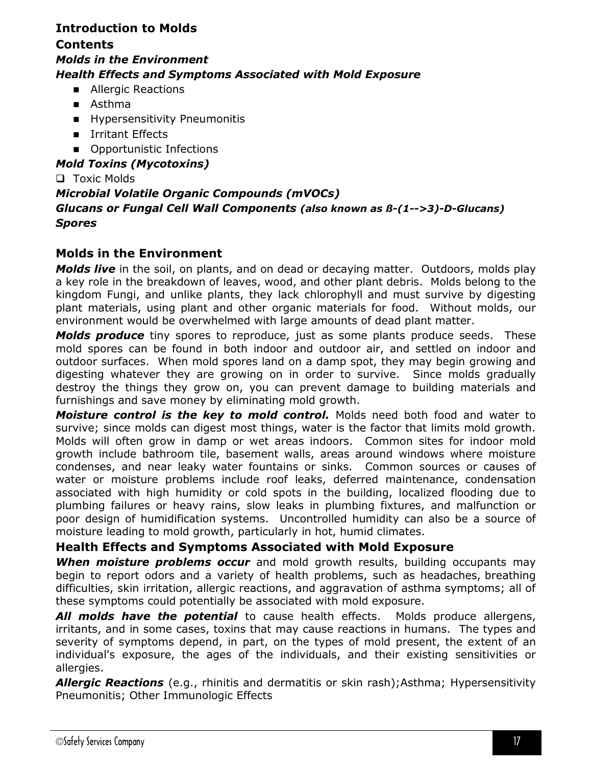# <span id="page-16-2"></span><span id="page-16-1"></span><span id="page-16-0"></span>**Introduction to Molds Contents** *Molds in the Environment Health Effects and Symptoms Associated with Mold Exposure*

- <span id="page-16-3"></span>**Allergic Reactions**
- Asthma
- **Hypersensitivity Pneumonitis**
- **Irritant Effects**
- **•** Opportunistic Infections

# <span id="page-16-4"></span>*Mold Toxins (Mycotoxins)*

<span id="page-16-6"></span><span id="page-16-5"></span>□ Toxic Molds *Microbial Volatile Organic Compounds (mVOCs) Glucans or Fungal Cell Wall Components (also known as ß-(1-->3)-D-Glucans) Spores*

# <span id="page-16-8"></span><span id="page-16-7"></span>**Molds in the Environment**

*Molds live* in the soil, on plants, and on dead or decaying matter. Outdoors, molds play a key role in the breakdown of leaves, wood, and other plant debris. Molds belong to the kingdom Fungi, and unlike plants, they lack chlorophyll and must survive by digesting plant materials, using plant and other organic materials for food. Without molds, our environment would be overwhelmed with large amounts of dead plant matter.

*Molds produce* tiny spores to reproduce, just as some plants produce seeds. These mold spores can be found in both indoor and outdoor air, and settled on indoor and outdoor surfaces. When mold spores land on a damp spot, they may begin growing and digesting whatever they are growing on in order to survive. Since molds gradually destroy the things they grow on, you can prevent damage to building materials and furnishings and save money by eliminating mold growth.

*Moisture control is the key to mold control.* Molds need both food and water to survive; since molds can digest most things, water is the factor that limits mold growth. Molds will often grow in damp or wet areas indoors. Common sites for indoor mold growth include bathroom tile, basement walls, areas around windows where moisture condenses, and near leaky water fountains or sinks. Common sources or causes of water or moisture problems include roof leaks, deferred maintenance, condensation associated with high humidity or cold spots in the building, localized flooding due to plumbing failures or heavy rains, slow leaks in plumbing fixtures, and malfunction or poor design of humidification systems. Uncontrolled humidity can also be a source of moisture leading to mold growth, particularly in hot, humid climates.

# <span id="page-16-9"></span>**Health Effects and Symptoms Associated with Mold Exposure**

*When moisture problems occur* and mold growth results, building occupants may begin to report odors and a variety of health problems, such as headaches, breathing difficulties, skin irritation, allergic reactions, and aggravation of asthma symptoms; all of these symptoms could potentially be associated with mold exposure.

*All molds have the potential* to cause health effects. Molds produce allergens, irritants, and in some cases, toxins that may cause reactions in humans. The types and severity of symptoms depend, in part, on the types of mold present, the extent of an individual's exposure, the ages of the individuals, and their existing sensitivities or allergies.

*Allergic Reactions* (e.g., rhinitis and dermatitis or skin rash);Asthma; Hypersensitivity Pneumonitis; Other Immunologic Effects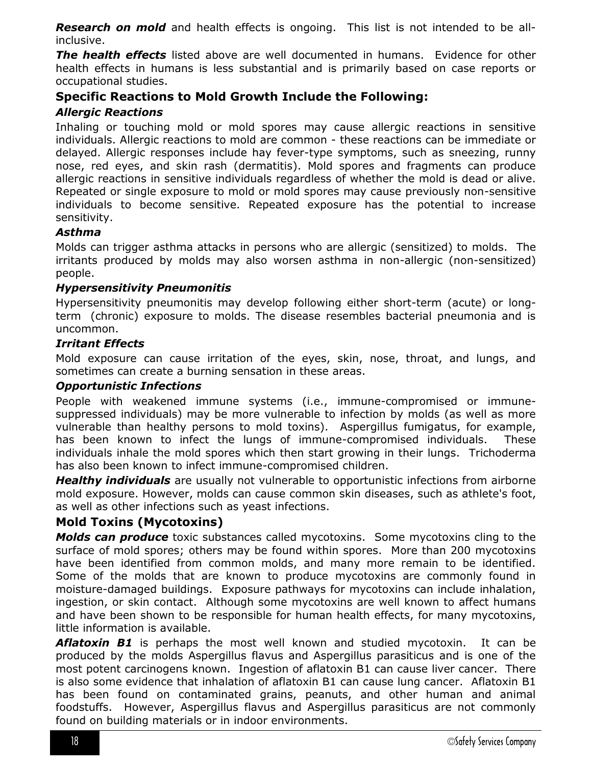*Research on mold* and health effects is ongoing. This list is not intended to be allinclusive.

*The health effects* listed above are well documented in humans. Evidence for other health effects in humans is less substantial and is primarily based on case reports or occupational studies.

# <span id="page-17-0"></span>**Specific Reactions to Mold Growth Include the Following:**

# <span id="page-17-1"></span>*Allergic Reactions*

Inhaling or touching mold or mold spores may cause allergic reactions in sensitive individuals. Allergic reactions to mold are common - these reactions can be immediate or delayed. Allergic responses include hay fever-type symptoms, such as sneezing, runny nose, red eyes, and skin rash (dermatitis). Mold spores and fragments can produce allergic reactions in sensitive individuals regardless of whether the mold is dead or alive. Repeated or single exposure to mold or mold spores may cause previously non-sensitive individuals to become sensitive. Repeated exposure has the potential to increase sensitivity.

#### <span id="page-17-2"></span>*Asthma*

Molds can trigger asthma attacks in persons who are allergic (sensitized) to molds. The irritants produced by molds may also worsen asthma in non-allergic (non-sensitized) people.

#### <span id="page-17-3"></span>*Hypersensitivity Pneumonitis*

Hypersensitivity pneumonitis may develop following either short-term (acute) or longterm (chronic) exposure to molds. The disease resembles bacterial pneumonia and is uncommon.

#### <span id="page-17-4"></span>*Irritant Effects*

Mold exposure can cause irritation of the eyes, skin, nose, throat, and lungs, and sometimes can create a burning sensation in these areas.

#### <span id="page-17-5"></span>*Opportunistic Infections*

People with weakened immune systems (i.e., immune-compromised or immunesuppressed individuals) may be more vulnerable to infection by molds (as well as more vulnerable than healthy persons to mold toxins). Aspergillus fumigatus, for example, has been known to infect the lungs of immune-compromised individuals. These individuals inhale the mold spores which then start growing in their lungs. Trichoderma has also been known to infect immune-compromised children.

*Healthy individuals* are usually not vulnerable to opportunistic infections from airborne mold exposure. However, molds can cause common skin diseases, such as athlete's foot, as well as other infections such as yeast infections.

# <span id="page-17-6"></span>**Mold Toxins (Mycotoxins)**

*Molds can produce* toxic substances called mycotoxins. Some mycotoxins cling to the surface of mold spores; others may be found within spores. More than 200 mycotoxins have been identified from common molds, and many more remain to be identified. Some of the molds that are known to produce mycotoxins are commonly found in moisture-damaged buildings. Exposure pathways for mycotoxins can include inhalation, ingestion, or skin contact. Although some mycotoxins are well known to affect humans and have been shown to be responsible for human health effects, for many mycotoxins, little information is available.

*Aflatoxin B1* is perhaps the most well known and studied mycotoxin. It can be produced by the molds Aspergillus flavus and Aspergillus parasiticus and is one of the most potent carcinogens known. Ingestion of aflatoxin B1 can cause liver cancer. There is also some evidence that inhalation of aflatoxin B1 can cause lung cancer. Aflatoxin B1 has been found on contaminated grains, peanuts, and other human and animal foodstuffs. However, Aspergillus flavus and Aspergillus parasiticus are not commonly found on building materials or in indoor environments.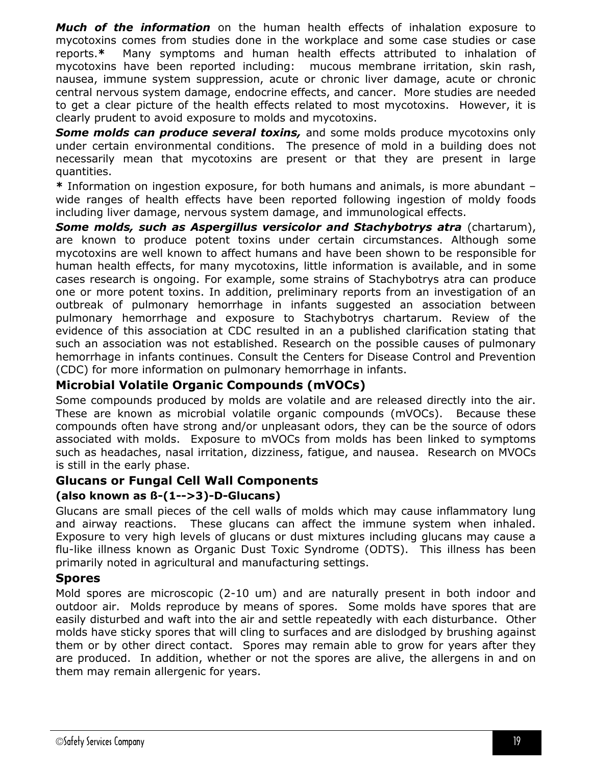*Much of the information* on the human health effects of inhalation exposure to mycotoxins comes from studies done in the workplace and some case studies or case reports.**\*** Many symptoms and human health effects attributed to inhalation of mycotoxins have been reported including: mucous membrane irritation, skin rash, nausea, immune system suppression, acute or chronic liver damage, acute or chronic central nervous system damage, endocrine effects, and cancer. More studies are needed to get a clear picture of the health effects related to most mycotoxins. However, it is clearly prudent to avoid exposure to molds and mycotoxins.

**Some molds can produce several toxins,** and some molds produce mycotoxins only under certain environmental conditions. The presence of mold in a building does not necessarily mean that mycotoxins are present or that they are present in large quantities.

**\*** Information on ingestion exposure, for both humans and animals, is more abundant – wide ranges of health effects have been reported following ingestion of moldy foods including liver damage, nervous system damage, and immunological effects.

**Some molds, such as Aspergillus versicolor and Stachybotrys atra** (chartarum), are known to produce potent toxins under certain circumstances. Although some mycotoxins are well known to affect humans and have been shown to be responsible for human health effects, for many mycotoxins, little information is available, and in some cases research is ongoing. For example, some strains of Stachybotrys atra can produce one or more potent toxins. In addition, preliminary reports from an investigation of an outbreak of pulmonary hemorrhage in infants suggested an association between pulmonary hemorrhage and exposure to Stachybotrys chartarum. Review of the evidence of this association at CDC resulted in an a published clarification stating that such an association was not established. Research on the possible causes of pulmonary hemorrhage in infants continues. Consult the Centers for Disease Control and Prevention (CDC) for more information on pulmonary hemorrhage in infants.

# <span id="page-18-0"></span>**Microbial Volatile Organic Compounds (mVOCs)**

Some compounds produced by molds are volatile and are released directly into the air. These are known as microbial volatile organic compounds (mVOCs). Because these compounds often have strong and/or unpleasant odors, they can be the source of odors associated with molds. Exposure to mVOCs from molds has been linked to symptoms such as headaches, nasal irritation, dizziness, fatigue, and nausea. Research on MVOCs is still in the early phase.

# <span id="page-18-1"></span>**Glucans or Fungal Cell Wall Components**

# **(also known as ß-(1-->3)-D-Glucans)**

Glucans are small pieces of the cell walls of molds which may cause inflammatory lung and airway reactions. These glucans can affect the immune system when inhaled. Exposure to very high levels of glucans or dust mixtures including glucans may cause a flu-like illness known as Organic Dust Toxic Syndrome (ODTS). This illness has been primarily noted in agricultural and manufacturing settings.

# <span id="page-18-2"></span>**Spores**

Mold spores are microscopic (2-10 um) and are naturally present in both indoor and outdoor air. Molds reproduce by means of spores. Some molds have spores that are easily disturbed and waft into the air and settle repeatedly with each disturbance. Other molds have sticky spores that will cling to surfaces and are dislodged by brushing against them or by other direct contact. Spores may remain able to grow for years after they are produced. In addition, whether or not the spores are alive, the allergens in and on them may remain allergenic for years.